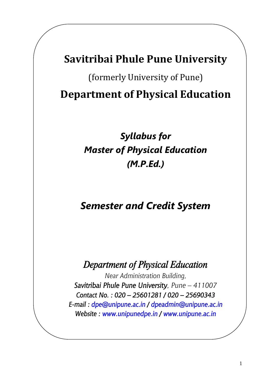# **Savitribai Phule Pune University**

(formerly University of Pune) **Department of Physical Education**

# *Syllabus for Master of Physical Education (M.P.Ed.)*

# *Semester and Credit System*

# *Department of Physical Education*

*Near Administration Building, Savitribai Phule Pune University, Pune – 411007 Contact No. : 020 – 25601281 / 020 – 25690343 E-mail : [dpe@unipune.ac.in](mailto:dpe@unipune.ac.in) / [dpeadmin@unipune.ac.in](mailto:dpeadmin@unipune.ac.in) Website : [www.unipunedpe.in](http://www.unipunedpe.in/) / [www.unipune.ac.in](http://www.unipune.ac.in/)*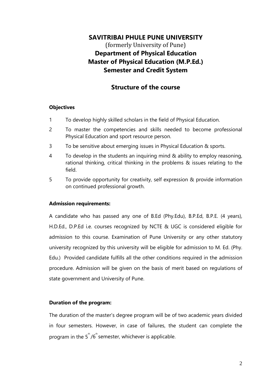# **SAVITRIBAI PHULE PUNE UNIVERSITY** (formerly University of Pune) **Department of Physical Education Master of Physical Education (M.P.Ed.) Semester and Credit System**

# **Structure of the course**

### **Objectives**

- 1 To develop highly skilled scholars in the field of Physical Education.
- 2 To master the competencies and skills needed to become professional Physical Education and sport resource person.
- 3 To be sensitive about emerging issues in Physical Education & sports.
- 4 To develop in the students an inquiring mind & ability to employ reasoning, rational thinking, critical thinking in the problems & issues relating to the field.
- 5 To provide opportunity for creativity, self expression & provide information on continued professional growth.

### **Admission requirements:**

A candidate who has passed any one of B.Ed (Phy.Edu), B.P.Ed, B.P.E. (4 years), H.D.Ed., D.P.Ed i.e. courses recognized by NCTE & UGC is considered eligible for admission to this course. Examination of Pune University or any other statutory university recognized by this university will be eligible for admission to M. Ed. (Phy. Edu.) Provided candidate fulfills all the other conditions required in the admission procedure. Admission will be given on the basis of merit based on regulations of state government and University of Pune.

### **Duration of the program:**

The duration of the master's degree program will be of two academic years divided in four semesters. However, in case of failures, the student can complete the program in the  $5^{\text{th}}/6^{\text{th}}$ semester, whichever is applicable.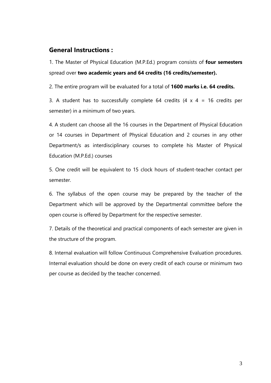# **General Instructions :**

1. The Master of Physical Education (M.P.Ed.) program consists of **four semesters**  spread over **two academic years and 64 credits (16 credits/semester).** 

2. The entire program will be evaluated for a total of **1600 marks i.e. 64 credits.** 

3. A student has to successfully complete 64 credits  $(4 \times 4 = 16$  credits per semester) in a minimum of two years.

4. A student can choose all the 16 courses in the Department of Physical Education or 14 courses in Department of Physical Education and 2 courses in any other Department/s as interdisciplinary courses to complete his Master of Physical Education (M.P.Ed.) courses

5. One credit will be equivalent to 15 clock hours of student-teacher contact per semester.

6. The syllabus of the open course may be prepared by the teacher of the Department which will be approved by the Departmental committee before the open course is offered by Department for the respective semester.

7. Details of the theoretical and practical components of each semester are given in the structure of the program.

8. Internal evaluation will follow Continuous Comprehensive Evaluation procedures. Internal evaluation should be done on every credit of each course or minimum two per course as decided by the teacher concerned.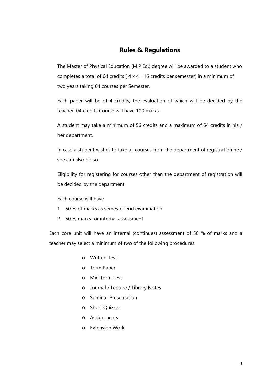# **Rules & Regulations**

The Master of Physical Education (M.P.Ed.) degree will be awarded to a student who completes a total of 64 credits ( $4 \times 4 = 16$  credits per semester) in a minimum of two years taking 04 courses per Semester.

Each paper will be of 4 credits, the evaluation of which will be decided by the teacher. 04 credits Course will have 100 marks.

A student may take a minimum of 56 credits and a maximum of 64 credits in his / her department.

In case a student wishes to take all courses from the department of registration he / she can also do so.

Eligibility for registering for courses other than the department of registration will be decided by the department.

Each course will have

- 1. 50 % of marks as semester end examination
- 2. 50 % marks for internal assessment

Each core unit will have an internal (continues) assessment of 50 % of marks and a teacher may select a minimum of two of the following procedures:

- o Written Test
- o Term Paper
- o Mid Term Test
- o Journal / Lecture / Library Notes
- o Seminar Presentation
- o Short Quizzes
- o Assignments
- o Extension Work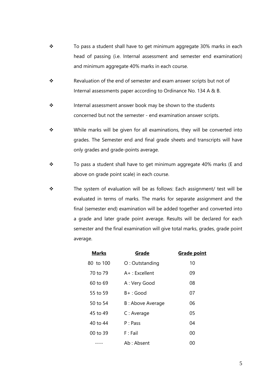- $\div$  To pass a student shall have to get minimum aggregate 30% marks in each head of passing (i.e. Internal assessment and semester end examination) and minimum aggregate 40% marks in each course.
- \* Revaluation of the end of semester and exam answer scripts but not of Internal assessments paper according to Ordinance No. 134 A & B.
- ❖ Internal assessment answer book may be shown to the students concerned but not the semester - end examination answer scripts.
- \* While marks will be given for all examinations, they will be converted into grades. The Semester end and final grade sheets and transcripts will have only grades and grade-points average.
- $\div$  To pass a student shall have to get minimum aggregate 40% marks (E and above on grade point scale) in each course.
- \* The system of evaluation will be as follows: Each assignment/ test will be evaluated in terms of marks. The marks for separate assignment and the final (semester end) examination will be added together and converted into a grade and later grade point average. Results will be declared for each semester and the final examination will give total marks, grades, grade point average.

| <b>Marks</b> | Grade             | <b>Grade point</b> |
|--------------|-------------------|--------------------|
| 80 to 100    | O: Outstanding    | 10                 |
| 70 to 79     | $A+$ : Excellent  | 09                 |
| 60 to 69     | A : Very Good     | 08                 |
| 55 to 59     | $B+$ : Good       | 07                 |
| 50 to 54     | B : Above Average | 06                 |
| 45 to 49     | C: Average        | 05                 |
| 40 to 44     | P: Pass           | 04                 |
| 00 to 39     | $F:$ Fail         | 00                 |
|              | Ab: Absent        | 00                 |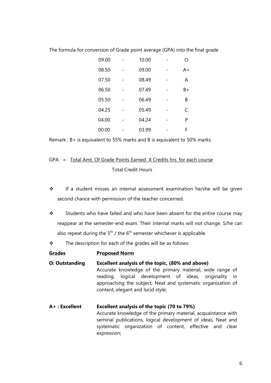| 09.00 | 10.00 | ∩  |
|-------|-------|----|
| 08.50 | 09.00 | A+ |
| 07.50 | 08.49 | A  |
| 06.50 | 07.49 | B+ |
| 05.50 | 06.49 | B  |
| 04.25 | 05.49 | C  |
| 04.00 | 04.24 | P  |
| 00.00 | 03.99 | F  |

The formula for conversion of Grade point average (GPA) into the final grade

Remark : B+ is equivalent to 55% marks and B is equivalent to 50% marks.

# GPA = Total Amt. Of Grade Points Earned X Credits hrs. for each course Total Credit Hours

- \* If a student misses an internal assessment examination he/she will be given second chance with permission of the teacher concerned.
- $\cdot \cdot$  Students who have failed and who have been absent for the entire course may reappear at the semester-end exam. Their internal marks will not change. S/he can also repeat during the  $5<sup>th</sup>$  / the  $6<sup>th</sup>$  semester whichever is applicable.
- $\div$  The description for each of the grades will be as follows:

#### **Grades Proposed Norm**

- **O: Outstanding Excellent analysis of the topic, (80% and above)** Accurate knowledge of the primary material, wide range of reading, logical development of ideas, originality in approaching the subject, Neat and systematic organization of content, elegant and lucid style;
- **A+ : Excellent Excellent analysis of the topic (70 to 79%)** Accurate knowledge of the primary material, acquaintance with seminal publications, logical development of ideas, Neat and systematic organization of content, effective and clear expression;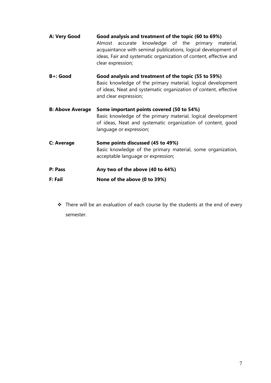| A: Very Good            | Good analysis and treatment of the topic (60 to 69%)<br>Almost accurate knowledge of the primary material,<br>acquaintance with seminal publications, logical development of<br>ideas, Fair and systematic organization of content, effective and<br>clear expression; |
|-------------------------|------------------------------------------------------------------------------------------------------------------------------------------------------------------------------------------------------------------------------------------------------------------------|
| <b>B+: Good</b>         | Good analysis and treatment of the topic (55 to 59%)<br>Basic knowledge of the primary material, logical development<br>of ideas, Neat and systematic organization of content, effective<br>and clear expression;                                                      |
| <b>B: Above Average</b> | Some important points covered (50 to 54%)<br>Basic knowledge of the primary material, logical development<br>of ideas, Neat and systematic organization of content, good<br>language or expression;                                                                    |
| C: Average              | Some points discussed (45 to 49%)<br>Basic knowledge of the primary material, some organization,<br>acceptable language or expression;                                                                                                                                 |
| P: Pass                 | Any two of the above (40 to 44%)                                                                                                                                                                                                                                       |
| F: Fail                 | None of the above (0 to 39%)                                                                                                                                                                                                                                           |

\* There will be an evaluation of each course by the students at the end of every semester.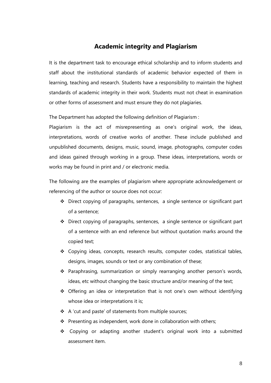# **Academic integrity and Plagiarism**

It is the department task to encourage ethical scholarship and to inform students and staff about the institutional standards of academic behavior expected of them in learning, teaching and research. Students have a responsibility to maintain the highest standards of academic integrity in their work. Students must not cheat in examination or other forms of assessment and must ensure they do not plagiaries.

The Department has adopted the following definition of Plagiarism :

Plagiarism is the act of misrepresenting as one's original work, the ideas, interpretations, words of creative works of another. These include published and unpublished documents, designs, music, sound, image, photographs, computer codes and ideas gained through working in a group. These ideas, interpretations, words or works may be found in print and / or electronic media.

The following are the examples of plagiarism where appropriate acknowledgement or referencing of the author or source does not occur:

- Direct copying of paragraphs, sentences, a single sentence or significant part of a sentence;
- $\triangleleft$  Direct copying of paragraphs, sentences, a single sentence or significant part of a sentence with an end reference but without quotation marks around the copied text;
- Copying ideas, concepts, research results, computer codes, statistical tables, designs, images, sounds or text or any combination of these;
- Paraphrasing, summarization or simply rearranging another person's words, ideas, etc without changing the basic structure and/or meaning of the text;
- Offering an idea or interpretation that is not one's own without identifying whose idea or interpretations it is;
- ❖ A 'cut and paste' of statements from multiple sources;
- $\cdot \cdot$  Presenting as independent, work done in collaboration with others;
- \* Copying or adapting another student's original work into a submitted assessment item.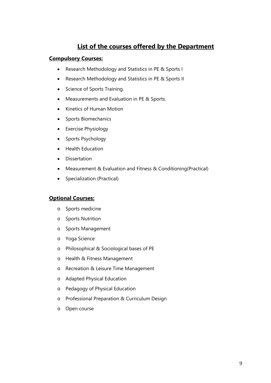# **List of the courses offered by the Department**

### **Compulsory Courses:**

- Research Methodology and Statistics in PE & Sports I
- Research Methodology and Statistics in PE & Sports II
- Science of Sports Training.
- Measurements and Evaluation in PE & Sports.
- Kinetics of Human Motion
- Sports Biomechanics
- Exercise Physiology
- Sports Psychology
- Health Education
- Dissertation
- Measurement & Evaluation and Fitness & Conditioning(Practical)
- Specialization (Practical)

### **Optional Courses:**

- o Sports medicine
- o Sports Nutrition
- o Sports Management
- o Yoga Science
- o Philosophical & Sociological bases of PE
- o Health & Fitness Management
- o Recreation & Leisure Time Management
- o Adapted Physical Education
- o Pedagogy of Physical Education
- o Professional Preparation & Curriculum Design
- o Open course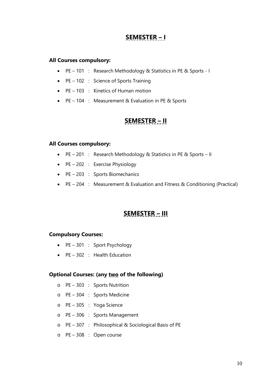# **SEMESTER – I**

#### **All Courses compulsory:**

- PE 101 : Research Methodology & Statistics in PE & Sports I
- PE 102 : Science of Sports Training
- PE 103 : Kinetics of Human motion
- PE 104 : Measurement & Evaluation in PE & Sports

# **SEMESTER – II**

#### **All Courses compulsory:**

- PE 201 : Research Methodology & Statistics in PE & Sports II
- $\bullet$  PE 202 : Exercise Physiology
- PE 203 : Sports Biomechanics
- PE 204 : Measurement & Evaluation and Fitness & Conditioning (Practical)

# **SEMESTER – III**

#### **Compulsory Courses:**

- PE 301 : Sport Psychology
- PE 302 : Health Education

#### **Optional Courses: (any two of the following)**

- o PE 303 : Sports Nutrition
- o PE 304 : Sports Medicine
- o PE 305 : Yoga Science
- o PE 306 : Sports Management
- o PE 307 : Philosophical & Sociological Basis of PE
- o PE 308 : Open course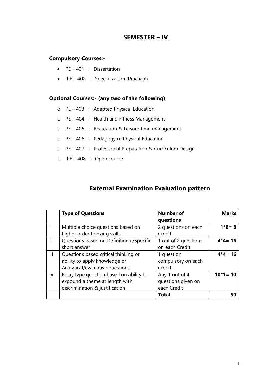# **SEMESTER – IV**

### **Compulsory Courses:-**

- PE 401 : Dissertation
- PE 402 : Specialization (Practical)

### **Optional Courses:- (any two of the following)**

- o PE 403 : Adapted Physical Education
- o PE 404 : Health and Fitness Management
- o PE 405 : Recreation & Leisure time management
- o PE 406 : Pedagogy of Physical Education
- o PE 407 : Professional Preparation & Curriculum Design
- o PE 408 : Open course

# **External Examination Evaluation pattern**

|               | <b>Type of Questions</b>                 | <b>Number of</b><br>questions | <b>Marks</b> |
|---------------|------------------------------------------|-------------------------------|--------------|
|               | Multiple choice questions based on       | 2 questions on each           | $1*8 = 8$    |
|               | higher order thinking skills             | Credit                        |              |
| $\mathbf{II}$ | Questions based on Definitional/Specific | 1 out of 2 questions          | $4*4=16$     |
|               | short answer                             | on each Credit                |              |
| Ш             | Questions based critical thinking or     | 1 question                    | $4*4=16$     |
|               | ability to apply knowledge or            | compulsory on each            |              |
|               | Analytical/evaluative questions          | Credit                        |              |
| IV            | Essay type question based on ability to  | Any 1 out of 4                | $10*1 = 10$  |
|               | expound a theme at length with           | questions given on            |              |
|               | discrimination & justification           | each Credit                   |              |
|               |                                          | <b>Total</b>                  | 50           |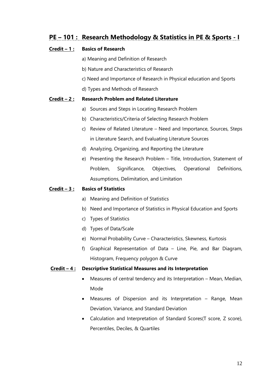# **PE – 101 : Research Methodology & Statistics in PE & Sports - I**

### **Credit – 1 : Basics of Research**

- a) Meaning and Definition of Research
- b) Nature and Characteristics of Research
- c) Need and Importance of Research in Physical education and Sports
- d) Types and Methods of Research

#### **Credit – 2 : Research Problem and Related Literature**

- a) Sources and Steps in Locating Research Problem
- b) Characteristics/Criteria of Selecting Research Problem
- c) Review of Related Literature Need and Importance, Sources, Steps in Literature Search, and Evaluating Literature Sources
- d) Analyzing, Organizing, and Reporting the Literature
- e) Presenting the Research Problem Title, Introduction, Statement of Problem, Significance, Objectives, Operational Definitions, Assumptions, Delimitation, and Limitation

#### **Credit – 3 : Basics of Statistics**

- a) Meaning and Definition of Statistics
- b) Need and Importance of Statistics in Physical Education and Sports
- c) Types of Statistics
- d) Types of Data/Scale
- e) Normal Probability Curve Characteristics, Skewness, Kurtosis
- f) Graphical Representation of Data Line, Pie, and Bar Diagram, Histogram, Frequency polygon & Curve

#### **Credit – 4 : Descriptive Statistical Measures and its Interpretation**

- Measures of central tendency and its Interpretation Mean, Median, Mode
- Measures of Dispersion and its Interpretation Range, Mean Deviation, Variance, and Standard Deviation
- Calculation and Interpretation of Standard Scores(T score, Z score), Percentiles, Deciles, & Quartiles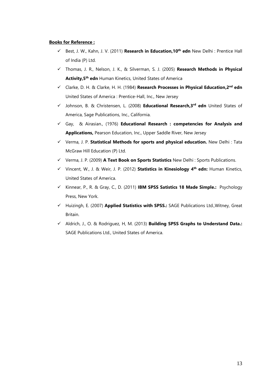#### **Books for Reference :**

- Best, J. W., Kahn, J. V. (2011) **Research in Education,10th edn** New Delhi : Prentice Hall of India (P) Ltd.
- Thomas, J. R., Nelson, J. K., & Silverman, S. J. (2005) **Research Methods in Physical Activity,5th edn** Human Kinetics, United States of America
- Clarke, D. H. & Clarke, H. H. (1984) **Research Processes in Physical Education,2nd edn**  United States of America : Prentice-Hall, Inc., New Jersey
- Johnson, B. & Christensen, L. (2008) **Educational Research,3rd edn** United States of America, Sage Publications, Inc., California.
- Gay, & Airasian., (1976) **Educational Research : competencies for Analysis and Applications,** Pearson Education, Inc., Upper Saddle River, New Jersey
- Verma, J. P. **Statistical Methods for sports and physical education.** New Delhi : Tata McGraw Hill Education (P) Ltd.
- Verma, J. P. (2009) **A Text Book on Sports Statistics** New Delhi : Sports Publications.
- Vincent, W., J. & Weir, J. P. (2012) **Statistics in Kinesiology 4th edn:** Human Kinetics, United States of America.
- Kinnear, P., R. & Gray, C., D. (2011) **IBM SPSS Satistics 18 Made Simple.:** Psychology Press, New York.
- Huizingh, E. (2007) **Applied Statistics with SPSS.:** SAGE Publications Ltd.,Witney, Great Britain.
- Aldrich, J., O. & Rodriguez, H, M. (2013) **Building SPSS Graphs to Understand Data.:**  SAGE Publications Ltd., United States of America.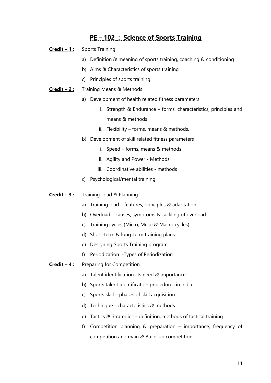# **PE – 102 : Science of Sports Training**

- **Credit – 1 :** Sports Training
	- a) Definition & meaning of sports training, coaching & conditioning
	- b) Aims & Characteristics of sports training
	- c) Principles of sports training
- **Credit – 2 :** Training Means & Methods
	- a) Development of health related fitness parameters
		- i. Strength & Endurance forms, characteristics, principles and means & methods
		- ii. Flexibility forms, means & methods.
	- b) Development of skill related fitness parameters
		- i. Speed forms, means & methods
		- ii. Agility and Power Methods
		- iii. Coordinative abilities methods
	- c) Psychological/mental training
- **Credit – 3 :** Training Load & Planning
	- a) Training load features, principles & adaptation
	- b) Overload causes, symptoms & tackling of overload
	- c) Training cycles (Micro, Meso & Macro cycles)
	- d) Short-term & long-term training plans
	- e) Designing Sports Training program
	- f) Periodization -Types of Periodization
- **Credit – 4 :** Preparing for Competition
	- a) Talent identification, its need & importance
	- b) Sports talent identification procedures in India
	- c) Sports skill phases of skill acquisition
	- d) Technique characteristics & methods.
	- e) Tactics & Strategies definition, methods of tactical training
	- f) Competition planning & preparation importance, frequency of competition and main & Build-up competition.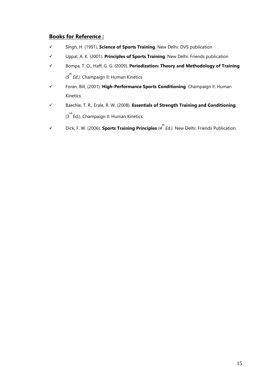### **Books for Reference :**

- Singh, H. (1991). **Science of Sports Training**. New Delhi: DVS publication
- Uppal. A. K. (2001). **Principles of Sports Training**. New Delhi: Friends publication
- Bompa, T. O., Haff, G. G. (2009). **Periodization: Theory and Methodology of Training** *(5 th Ed.).* Champaign II: Human Kinetics
- Foran, Bill, (2001). **High-Performance Sports Conditioning***.* Champaign II: Human Kinetics.
- Baechle, T. R., Erale, R. W. (2008). **Essentials of Strength Training and Conditioning***.*  (3<sup>rd</sup> Ed.). Champaign II: Human Kinetics.
- Dick, F. W. (2006). **Sports Training Principles** *(4 th Ed.).* New Delhi: Friends Publication.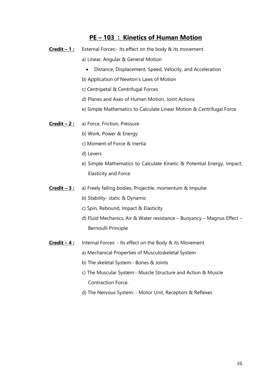# **PE – 103 : Kinetics of Human Motion**

- **Credit – 1 :** External Forces:- Its effect on the body & its movement
	- a) Linear, Angular & General Motion
		- Distance, Displacement, Speed, Velocity, and Acceleration
	- b) Application of Newton's Laws of Motion
	- c) Centripetal & Centrifugal Forces
	- d) Planes and Axes of Human Motion, Joint Actions
	- e) Simple Mathematics to Calculate Linear Motion & Centrifugal Force
- **Credit – 2 :** a) Force, Friction, Pressure
	- b) Work, Power & Energy
	- c) Moment of Force & Inertia
	- d) Levers
	- e) Simple Mathematics to Calculate Kinetic & Potential Energy, Impact, Elasticity and Force
- **Credit – 3 :** a) Freely falling bodies, Projectile, momentum & Impulse
	- b) Stability- static & Dynamic
	- c) Spin, Rebound, Impact & Elasticity
	- d) Fluid Mechanics, Air & Water resistance Buoyancy Magnus Effect Bernoulli Principle
- **Credit 4:** Internal Forces: Its effect on the Body & its Movement
	- a) Mechanical Properties of Musculoskeletal System
		- b) The skeletal System:- Bones & Joints
		- c) The Muscular System:- Muscle Structure and Action & Muscle Contraction Force.
		- d) The Nervous System: Motor Unit, Receptors & Reflexes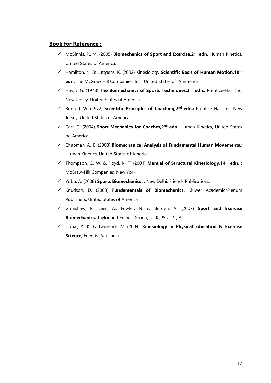### **Book for Reference :**

- McGinnis, P., M. (2005) **Biomechanics of Sport and Exercise,2nd edn.** Human Kinetics, United States of America.
- Hamilton, N. & Luttgens, K. (2002) Kinesiology **Scientific Basis of Human Motion,10th edn.** The McGraw Hill Companies, Inc., United States of Ammerica
- Hay, J. G. (1978) **The Boimechanics of Sports Techniques,2nd edn.:** Prentice-Hall, Inc. New Jersey, United States of America.
- Bunn, J. W. (1972) **Scientific Principles of Coaching,2nd edn.:** Prentice-Hall, Inc. New Jersey, United States of America.
- Carr, G. (2004) **Sport Mechanics for Coaches,2nd edn.** Human Kinetics, United States od America.
- Chapman, A., E. (2008) **Biomechanical Analysis of Fundamental Human Movements.**: Human Kinetics, United States of America.
- Thompson, C., W. & Floyd, R., T. (2001) **Manual of Structural Kinesiology,14th edn. :**  McGraw-Hill Companies, New York.
- Yobu, A. (2008) **Sports Biomechanics. :** New Delhi. Friends Publications.
- Knudson, D. (2003) **Fundamentals of Biomechanics.** Kluwer Academic/Plenum Publishers, United States of America
- Grimshaw, P., Lees, A., Fowler, N. & Burden, A. (2007) **Sport and Exercise Biomechanics.** Taylor and Francis Group, U., K., & U., S., A.
- Uppal, A. K. & Lawrence, V. (2004) **Kinesiology in Physical Education & Exercise Science**, Friends Pub. India.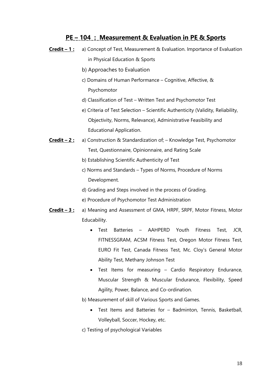# **PE – 104 : Measurement & Evaluation in PE & Sports**

- **Credit – 1 :** a) Concept of Test, Measurement & Evaluation. Importance of Evaluation in Physical Education & Sports
	- b) Approaches to Evaluation
	- c) Domains of Human Performance Cognitive, Affective, & Psychomotor
	- d) Classification of Test Written Test and Psychomotor Test
	- e) Criteria of Test Selection Scientific Authenticity (Validity, Reliability, Objectivity, Norms, Relevance), Administrative Feasibility and Educational Application.
- **Credit – 2 :** a) Construction & Standardization of; Knowledge Test, Psychomotor Test, Questionnaire, Opinionnaire, and Rating Scale
	- b) Establishing Scientific Authenticity of Test
	- c) Norms and Standards Types of Norms, Procedure of Norms Development.
	- d) Grading and Steps involved in the process of Grading.
	- e) Procedure of Psychomotor Test Administration
- **Credit – 3 :** a) Meaning and Assessment of GMA, HRPF, SRPF, Motor Fitness, Motor Educability.
	- Test Batteries AAHPERD Youth Fitness Test, JCR, FITNESSGRAM, ACSM Fitness Test, Oregon Motor Fitness Test, EURO Fit Test, Canada Fitness Test, Mc. Cloy's General Motor Ability Test, Methany Johnson Test
	- Test Items for measuring Cardio Respiratory Endurance, Muscular Strength & Muscular Endurance, Flexibility, Speed Agility, Power, Balance, and Co-ordination.
	- b) Measurement of skill of Various Sports and Games.
		- Test Items and Batteries for Badminton, Tennis, Basketball, Volleyball, Soccer, Hockey, etc.
	- c) Testing of psychological Variables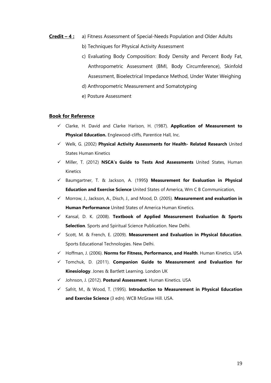- **Credit – 4 :** a) Fitness Assessment of Special-Needs Population and Older Adults
	- b) Techniques for Physical Activity Assessment
	- c) Evaluating Body Composition: Body Density and Percent Body Fat, Anthropometric Assessment (BMI, Body Circumference), Skinfold Assessment, Bioelectrical Impedance Method, Under Water Weighing
	- d) Anthropometric Measurement and Somatotyping
	- e) Posture Assessment

#### **Book for Reference**

- Clarke, H. David and Clarke Harison, H. (1987). **Application of Measurement to Physical Education.** Englewood-cliffs, Parentice Hall, Inc.
- Welk, G. (2002) **Physical Activity Assessments for Health- Related Research** United States Human Kinetics
- Miller, T. (2012) **NSCA's Guide to Tests And Assessments** United States, Human Kinetics
- Baumgartner, T. & Jackson, A. (1995**) Measurement for Evaluation in Physical Education and Exercise Science** United States of America, Wm C B Communication,
- Morrow, J., Jackson, A., Disch, J., and Mood, D. (2005). **Measurement and evaluation in Human Performance** United States of America Human Kinetics.
- Kansal, D. K. (2008). **Textbook of Applied Measurement Evaluation & Sports Selection**. Sports and Spiritual Science Publication. New Delhi.
- Scott, M. & French, E. (2009). **Measurement and Evaluation in Physical Education**. Sports Educational Technologies. New Delhi.
- Hoffman, J. (2006). **Norms for Fitness, Performance, and Health**. Human Kinetics. USA
- Tomchuk, D. (2011). **Companion Guide to Measurement and Evaluation for Kinesiology**. Jones & Bartlett Learning. London UK
- Johnson, J. (2012). **Postural Assessment**. Human Kinetics. USA
- Safrit, M., & Wood, T. (1995). **Introduction to Measurement in Physical Education and Exercise Science** (3 edn). WCB McGraw Hill. USA.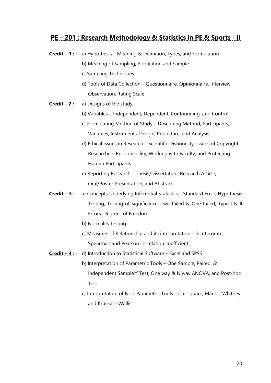# **PE – 201 : Research Methodology & Statistics in PE & Sports - II**

- **Credit – 1 :** a) Hypothesis Meaning & Definition, Types, and Formulation
	- b) Meaning of Sampling, Population and Sample
	- c) Sampling Techniques
	- d) Tools of Data Collection Questionnaire, Opinionnaire, Interview, Observation, Rating Scale
- **Credit – 2 :** a) Designs of the study
	- b) Variables Independent, Dependent, Confounding, and Control
	- c) Formulating Method of Study Describing Method, Participants, Variables, Instruments, Design, Procedure, and Analysis.
	- d) Ethical Issues in Research Scientific Dishonesty, Issues of Copyright, Researchers Responsibility, Working with Faculty, and Protecting Human Participants
	- e) Reporting Research Thesis/Dissertation, Research Article, Oral/Poster Presentation, and Abstract
- **Credit – 3 :** a) Concepts Underlying Inferential Statistics Standard Error, Hypothesis Testing, Testing of Significance, Two-tailed & One-tailed, Type I & II Errors, Degrees of Freedom
	- b) Normality testing
	- c) Measures of Relationship and its interpretation Scattergram, Spearman and Pearson correlation coefficient
- **Credit – 4 :** d) Introduction to Statistical Software Excel and SPSS
	- b) Interpretation of Parametric Tools One Sample, Paired, & Independent Sample't' Test, One way & N way ANOVA, and Post-hoc Test
	- c) Interpretation of Non-Parametric Tools Chi-square, Mann Whitney, and Kruskal - Wallis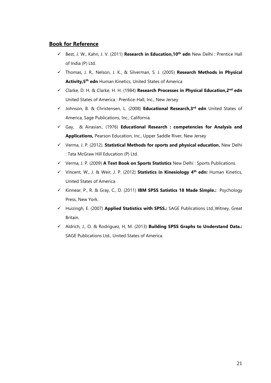### **Book for Reference**

- Best, J. W., Kahn, J. V. (2011) **Research in Education,10th edn** New Delhi : Prentice Hall of India (P) Ltd.
- Thomas, J. R., Nelson, J. K., & Silverman, S. J. (2005) **Research Methods in Physical Activity,5th edn** Human Kinetics, United States of America
- Clarke, D. H. & Clarke, H. H. (1984) **Research Processes in Physical Education,2nd edn**  United States of America : Prentice-Hall, Inc., New Jersey
- Johnson, B. & Christensen, L. (2008) **Educational Research,3rd edn** United States of America, Sage Publications, Inc., California.
- Gay, & Airasian., (1976) **Educational Research : competencies for Analysis and Applications,** Pearson Education, Inc., Upper Saddle River, New Jersey
- Verma, J. P. (2012). **Statistical Methods for sports and physical education.** New Delhi : Tata McGraw Hill Education (P) Ltd.
- Verma, J. P. (2009) **A Text Book on Sports Statistics** New Delhi : Sports Publications.
- Vincent, W., J. & Weir, J. P. (2012) **Statistics in Kinesiology 4th edn:** Human Kinetics, United States of America.
- Kinnear, P., R. & Gray, C., D. (2011) **IBM SPSS Satistics 18 Made Simple.:** Psychology Press, New York.
- Huizingh, E. (2007) **Applied Statistics with SPSS.:** SAGE Publications Ltd.,Witney, Great Britain.
- Aldrich, J., O. & Rodriguez, H, M. (2013) **Building SPSS Graphs to Understand Data.:**  SAGE Publications Ltd., United States of America.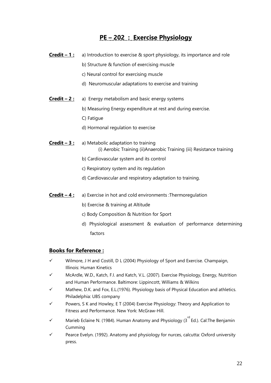# **PE – 202 : Exercise Physiology**

- **Credit 1:** a) Introduction to exercise & sport physiology, its importance and role
	- b) Structure & function of exercising muscle
	- c) Neural control for exercising muscle
	- d) Neuromuscular adaptations to exercise and training
- **Credit 2:** a) Energy metabolism and basic energy systems
	- b) Measuring Energy expenditure at rest and during exercise.
	- C) Fatigue
	- d) Hormonal regulation to exercise
- **Credit – 3 :** a) Metabolic adaptation to training (i) Aerobic Training (ii)Anaerobic Training (iii) Resistance training
	- b) Cardiovascular system and its control
	- c) Respiratory system and its regulation
	- d) Cardiovascular and respiratory adaptation to training.
- **Credit 4 :** a) Exercise in hot and cold environments : Thermoregulation
	- b) Exercise & training at Altitude
	- c) Body Composition & Nutrition for Sport
	- d) Physiological assessment & evaluation of performance determining factors

### **Books for Reference :**

- $\checkmark$  Wilmore, J H and Costill, D L (2004) Physiology of Sport and Exercise. Champaign, Illinois: Human Kinetics
- McArdle, W.D., Katch, F.I. and Katch, V.L. (2007). Exercise Physiology, Energy, Nutrition and Human Performance. Baltimore: Lippincott, Williams & Wilkins
- Mathew, D.K. and Fox, E.L.(1976). Physiology basis of Physical Education and athletics. Philadelphia: UBS company
- Powers, S K and Howley, E T (2004) Exercise Physiology: Theory and Application to Fitness and Performance. New York: McGraw-Hill.
- $\checkmark$  Marieb Eclaine N. (1984). Human Anatomy and Physiology (3<sup>rd</sup> Ed.). Cal:The Benjamin Cumming
- Pearce Evelyn. (1992). Anatomy and physiology for nurces, calcutta: Oxford university press.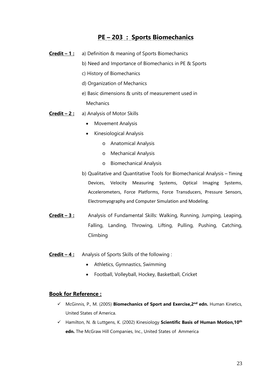# **PE – 203 : Sports Biomechanics**

- **Credit – 1 :** a) Definition & meaning of Sports Biomechanics
	- b) Need and Importance of Biomechanics in PE & Sports
	- c) History of Biomechanics
	- d) Organization of Mechanics
	- e) Basic dimensions & units of measurement used in **Mechanics**
- **Credit – 2 :** a) Analysis of Motor Skills
	- Movement Analysis
	- Kinesiological Analysis
		- o Anatomical Analysis
		- o Mechanical Analysis
		- o Biomechanical Analysis
	- b) Qualitative and Quantitative Tools for Biomechanical Analysis Timing Devices, Velocity Measuring Systems, Optical Imaging Systems, Accelerometers, Force Platforms, Force Transducers, Pressure Sensors, Electromyography and Computer Simulation and Modeling.
- **Credit – 3 :** Analysis of Fundamental Skills: Walking, Running, Jumping, Leaping, Falling, Landing, Throwing, Lifting, Pulling, Pushing, Catching, Climbing
- **Credit – 4 :** Analysis of Sports Skills of the following :
	- Athletics, Gymnastics, Swimming
	- Football, Volleyball, Hockey, Basketball, Cricket

#### **Book for Reference :**

- McGinnis, P., M. (2005) **Biomechanics of Sport and Exercise,2nd edn.** Human Kinetics, United States of America.
- Hamilton, N. & Luttgens, K. (2002) Kinesiology **Scientific Basis of Human Motion,10th edn.** The McGraw Hill Companies, Inc., United States of Ammerica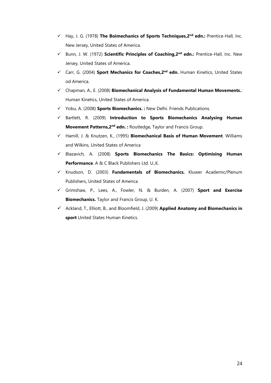- Hay, J. G. (1978) **The Boimechanics of Sports Techniques,2nd edn.:** Prentice-Hall, Inc. New Jersey, United States of America.
- Bunn, J. W. (1972) **Scientific Principles of Coaching,2nd edn.:** Prentice-Hall, Inc. New Jersey, United States of America.
- Carr, G. (2004) **Sport Mechanics for Coaches,2nd edn.** Human Kinetics, United States od America.
- Chapman, A., E. (2008) **Biomechanical Analysis of Fundamental Human Movements.**: Human Kinetics, United States of America.
- Yobu, A. (2008) **Sports Biomechanics. :** New Delhi. Friends Publications.
- Bartlett, R. (2009) **Introduction to Sports Biomechanics Analysing Human Movement Patterns,2nd edn. :** Routledge, Taylor and Francis Group.
- Hamill, J. & Knutzen, K., (1995) **Biomechanical Basis of Human Movement**. Williams and Wilkins, United States of America
- Blazavich, A. (2008) **Sports Biomechanics The Basics: Optimising Human Performance**. A & C Black Publishers Ltd. U.,K.
- Knudson, D. (2003) **Fundamentals of Biomechanics.** Kluwer Academic/Plenum Publishers, United States of America
- Grimshaw, P., Lees, A., Fowler, N. & Burden, A. (2007) **Sport and Exercise Biomechanics.** Taylor and Francis Group, U. K.
- Ackland, T., Elliott, B., and Bloomfield, J. (2009) **Applied Anatomy and Biomechanics in sport** United States Human Kinetics.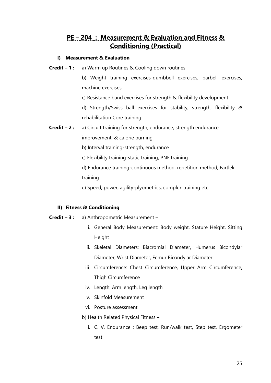# **PE – 204 : Measurement & Evaluation and Fitness & Conditioning (Practical)**

### **I) Measurement & Evaluation**

- **Credit 1:** a) Warm up Routines & Cooling down routines
	- b) Weight training exercises-dumbbell exercises, barbell exercises, machine exercises
	- c) Resistance band exercises for strength & flexibility development

d) Strength/Swiss ball exercises for stability, strength, flexibility & rehabilitation Core training

**Credit – 2:** a) Circuit training for strength, endurance, strength endurance

improvement, & calorie burning

- b) Interval training-strength, endurance
- c) Flexibility training-static training, PNF training

d) Endurance training-continuous method, repetition method, Fartlek training

e) Speed, power, agility-plyometrics, complex training etc

### **II) Fitness & Conditioning**

- **Credit – 3 :** a) Anthropometric Measurement
	- i. General Body Measurement: Body weight, Stature Height, Sitting Height
	- ii. Skeletal Diameters: Biacromial Diameter, Humerus Bicondylar Diameter, Wrist Diameter, Femur Bicondylar Diameter
	- iii. Circumference: Chest Circumference, Upper Arm Circumference, Thigh Circumference
	- iv. Length: Arm length, Leg length
	- v. Skinfold Measurement
	- vi. Posture assessment
	- b) Health Related Physical Fitness
		- i. C. V. Endurance : Beep test, Run/walk test, Step test, Ergometer test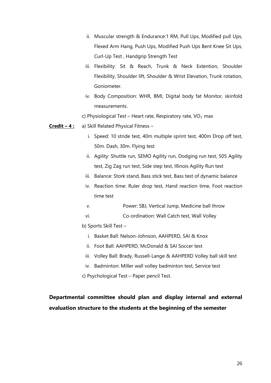- ii. Muscular strength & Endurance:1 RM, Pull Ups, Modified pull Ups, Flexed Arm Hang, Push Ups, Modified Push Ups Bent Knee Sit Ups, Curl-Up Test , Handgrip Strength Test
- iii. Flexibility: Sit & Reach, Trunk & Neck Extention, Shoulder Flexibility, Shoulder lift, Shoulder & Wrist Elevation, Trunk rotation, Goniometer.
- iv. Body Composition: WHR, BMI, Digital body fat Monitor, skinfold measurements.
- c) Physiological Test Heart rate, Respiratory rate,  $VO<sub>2</sub>$  max
- **Credit – 4 :** a) Skill Related Physical Fitness
	- i. Speed: 10 stride test, 40m multiple sprint test, 400m Drop off test, 50m. Dash, 30m. Flying test
	- ii. Agility: Shuttle run, SEMO Agility run, Dodging run test, 505 Agility test, Zig Zag run test, Side step test, Illinois Agility Run test
	- iii. Balance: Stork stand, Bass stick test, Bass test of dynamic balance
	- iv. Reaction time: Ruler drop test, Hand reaction time, Foot reaction time test
	- v. Power: SBJ, Vertical Jump, Medicine ball throw
	- vi. Co-ordination: Wall Catch test, Wall Volley
	- b) Sports Skill Test
		- i. Basket Ball: Nelson-Johnson, AAHPERD, SAI & Knox
		- ii. Foot Ball: AAHPERD, McDonald & SAI Soccer test
		- iii. Volley Ball: Brady, Russell-Lange & AAHPERD Volley ball skill test
		- iv. Badminton: Miller wall volley badminton test, Service test
	- c) Psychological Test Paper pencil Test.

# **Departmental committee should plan and display internal and external evaluation structure to the students at the beginning of the semester**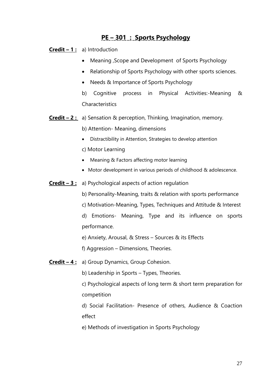# **PE – 301 : Sports Psychology**

**Credit – 1 :** a) Introduction

- Meaning ,Scope and Development of Sports Psychology
- Relationship of Sports Psychology with other sports sciences.
- Needs & Importance of Sports Psychology

b) Cognitive process in Physical Activities:-Meaning & **Characteristics** 

**Credit – 2 :** a) Sensation & perception, Thinking, Imagination, memory.

b) Attention- Meaning, dimensions

- Distractibility in Attention, Strategies to develop attention
- c) Motor Learning
- Meaning & Factors affecting motor learning
- Motor development in various periods of childhood & adolescence.
- **Credit – 3 :** a) Psychological aspects of action regulation
	- b) Personality-Meaning, traits & relation with sports performance
	- c) Motivation-Meaning, Types, Techniques and Attitude & Interest
	- d) Emotions- Meaning, Type and its influence on sports performance.
	- e) Anxiety, Arousal, & Stress Sources & its Effects
	- f) Aggression Dimensions, Theories.
- **Credit – 4 :** a) Group Dynamics, Group Cohesion.
	- b) Leadership in Sports Types, Theories.
	- c) Psychological aspects of long term & short term preparation for competition

d) Social Facilitation- Presence of others, Audience & Coaction effect

e) Methods of investigation in Sports Psychology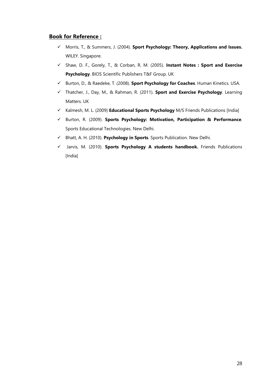#### **Book for Reference :**

- Morris, T., & Summers, J. (2004). **Sport Psychology: Theory, Applications and Issues.** WILEY. Singapore.
- Shaw, D. F., Gorely, T., & Corban, R. M. (2005). **Instant Notes : Sport and Exercise Psychology**. BIOS Scientific Publishers T&F Group. UK
- Burton, D., & Raedeke, T. (2008). **Sport Psychology for Coaches**. Human Kinetics. USA.
- Thatcher, J., Day, M., & Rahman, R. (2011). **Sport and Exercise Psychology**. Learning Matters. UK
- Kalmesh, M. L. (2009) **Educational Sports Psychology** M/S Friends Publications [India]
- Burton, R. (2009). **Sports Psychology: Motivation, Participation & Performance**. Sports Educational Technologies. New Delhi.
- Bhatt, A. H. (2010). **Psychology in Sports**. Sports Publication. New Delhi.
- Jarvis, M. (2010). **Sports Psychology A students handbook.** Friends Publications [India]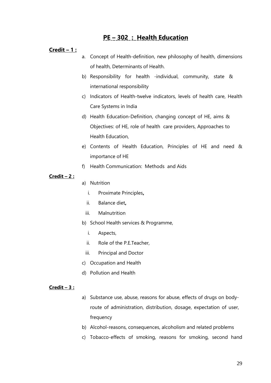# **PE – 302 : Health Education**

#### **Credit – 1 :**

- a. Concept of Health-definition, new philosophy of health, dimensions of health, Determinants of Health.
- b) Responsibility for health -individual, community, state & international responsibility
- c) Indicators of Health-twelve indicators, levels of health care, Health Care Systems in India
- d) Health Education-Definition, changing concept of HE, aims & Objectives: of HE, role of health care providers, Approaches to Health Education,
- e) Contents of Health Education, Principles of HE and need & importance of HE
- f) Health Communication: Methods and Aids

#### **Credit – 2 :**

- a) Nutrition
	- i. Proximate Principles**,**
	- ii. Balance diet**,**
	- iii. Malnutrition
- b) School Health services & Programme,
	- i. Aspects,
	- ii. Role of the P.E.Teacher,
	- iii. Principal and Doctor
- c) Occupation and Health
- d) Pollution and Health

#### **Credit – 3 :**

- a) Substance use, abuse, reasons for abuse, effects of drugs on bodyroute of administration, distribution, dosage, expectation of user, frequency
- b) Alcohol-reasons, consequences, alcoholism and related problems
- c) Tobacco-effects of smoking, reasons for smoking, second hand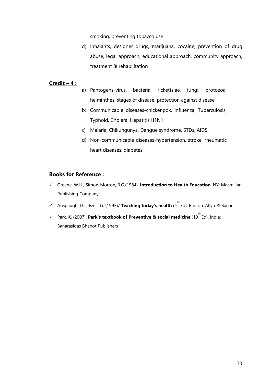smoking, preventing tobacco use

d) Inhalants, designer drugs, marijuana, cocaine, prevention of drug abuse, legal approach, educational approach, community approach, treatment & rehabilitation

### **Credit – 4 :**

- a) Pahtogens-virus, bacteria, rickettsiae, fungi, protozoa, helminthes, stages of disease, protection against disease
- b) Communicable diseases-chickenpox, influenza, Tuberculosis, Typhoid, Cholera, Hepatitis,H1N1
- c) Malaria, Chikungunya, Dengue syndrome, STDs, AIDS
- d) Non-communicable diseases-hypertension, stroke, rheumatic heart diseases, diabetes

### **Books for Reference :**

- Greene, W.H., Simon-Morton, B.G.(1984). **Introduction to Health Education**. NY: Macmillan Publishing Company
- Anspaugh, D.J., Ezell, G. (1995)/ **Teaching today's health** (4 th Ed). Boston: Allyn & Bacon
- Park, K. (2007). **Park's textbook of Preventive & social medicine** (19 th Ed). India: Banarasidas Bhanot Publishers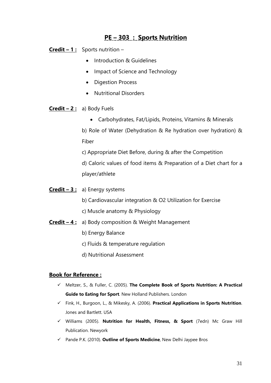# **PE – 303 : Sports Nutrition**

**Credit – 1 :** Sports nutrition –

- Introduction & Guidelines
- Impact of Science and Technology
- Digestion Process
- Nutritional Disorders
- **Credit – 2 :** a) Body Fuels
	- Carbohydrates, Fat/Lipids, Proteins, Vitamins & Minerals

b) Role of Water (Dehydration & Re hydration over hydration) & Fiber

c) Appropriate Diet Before, during & after the Competition

d) Caloric values of food items & Preparation of a Diet chart for a player/athlete

- **Credit – 3 :** a) Energy systems
	- b) Cardiovascular integration & O2 Utilization for Exercise
	- c) Muscle anatomy & Physiology
- **Credit – 4 :** a) Body composition & Weight Management
	- b) Energy Balance
	- c) Fluids & temperature regulation
	- d) Nutritional Assessment

### **Book for Reference :**

- Meltzer, S., & Fuller, C. (2005). **The Complete Book of Sports Nutrition: A Practical Guide to Eating for Sport**. New Holland Publishers. London
- Fink, H., Burgoon, L., & Mikesky, A. (2006). **Practical Applications in Sports Nutrition**. Jones and Bartlett. USA
- Williams (2005). **Nutrition for Health, Fitness, & Sport** (7edn) Mc Graw Hill Publication. Newyork
- Pande P.K. (2010). **Outline of Sports Medicine**, New Delhi Jaypee Bros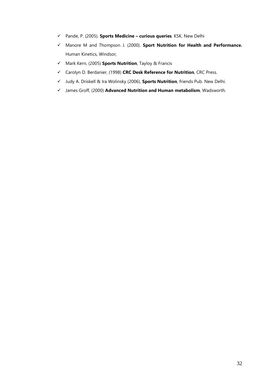- Pande, P. (2005). **Sports Medicine – curious queries**. KSK. New Delhi
- Manore M and Thompson J. (2000). **Sport Nutrition for Health and Performance.**  Human Kinetics, Windsor,
- Mark Kern, (2005) **Sports Nutrition**, Tayloy & Francis
- Carolyn D. Berdanier, (1998) **CRC Desk Reference for Nutrition**, CRC Press.
- Judy A. Driskell & Ira Wolinsky (2006), **Sports Nutrition**, friends Pub. New Delhi.
- James Groff, (2000) **Advanced Nutrition and Human metabolism**, Wadsworth.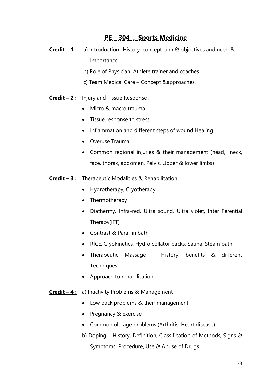# **PE – 304 : Sports Medicine**

- **Credit – 1 :** a) Introduction- History, concept, aim & objectives and need & Importance
	- b) Role of Physician, Athlete trainer and coaches
	- c) Team Medical Care Concept &approaches.
- **Credit – 2 :** Injury and Tissue Response :
	- Micro & macro trauma
	- Tissue response to stress
	- Inflammation and different steps of wound Healing
	- Overuse Trauma.
	- Common regional injuries & their management (head, neck, face, thorax, abdomen, Pelvis, Upper & lower limbs)
- **Credit – 3 :** Therapeutic Modalities & Rehabilitation
	- Hydrotherapy, Cryotherapy
	- Thermotherapy
	- Diathermy, Infra-red, Ultra sound, Ultra violet, Inter Ferential Therapy(IFT)
	- Contrast & Paraffin bath
	- RICE, Cryokinetics, Hydro collator packs, Sauna, Steam bath
	- Therapeutic Massage History, benefits & different **Techniques**
	- Approach to rehabilitation
- **Credit – 4 :** a) Inactivity Problems & Management
	- Low back problems & their management
	- Pregnancy & exercise
	- Common old age problems (Arthritis, Heart disease)
	- b) Doping History, Definition, Classification of Methods, Signs & Symptoms, Procedure, Use & Abuse of Drugs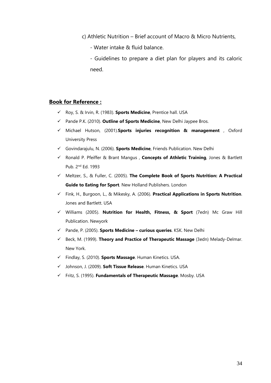- c) Athletic Nutrition Brief account of Macro & Micro Nutrients,
	- Water intake & fluid balance.
	- Guidelines to prepare a diet plan for players and its caloric need.

#### **Book for Reference :**

- Roy, S. & Irvin, R. (1983). **Sports Medicine**, Prentice hall. USA
- Pande P.K. (2010). **Outline of Sports Medicine**, New Delhi Jaypee Bros.
- Michael Hutson, (2001).**Sports injuries recognition & management** , Oxford University Press
- Govindarajulu, N. (2006). **Sports Medicine**, Friends Publication. New Delhi
- Ronald P. Pfeiffer & Brant Mangus , **Concepts of Athletic Training**, Jones & Bartlett Pub. 2nd Ed. 1993
- Meltzer, S., & Fuller, C. (2005). **The Complete Book of Sports Nutrition: A Practical Guide to Eating for Sport**. New Holland Publishers. London
- Fink, H., Burgoon, L., & Mikesky, A. (2006). **Practical Applications in Sports Nutrition**. Jones and Bartlett. USA
- Williams (2005). **Nutrition for Health, Fitness, & Sport** (7edn) Mc Graw Hill Publication. Newyork
- Pande, P. (2005). **Sports Medicine – curious queries**. KSK. New Delhi
- Beck, M. (1999). **Theory and Practice of Therapeutic Massage** (3edn) Melady-Delmar. New York.
- Findlay, S. (2010). **Sports Massage**. Human Kinetics. USA.
- Johnson, J. (2009). **Soft Tissue Release**. Human Kinetics. USA
- Fritz, S. (1995). **Fundamentals of Therapeutic Massage**. Mosby. USA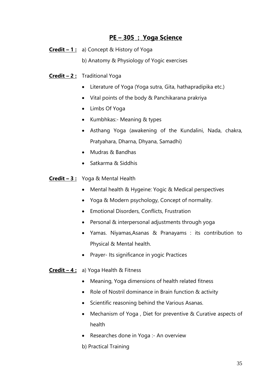# **PE – 305 : Yoga Science**

- **Credit – 1 :** a) Concept & History of Yoga
	- b) Anatomy & Physiology of Yogic exercises
- **Credit – 2 :** Traditional Yoga
	- Literature of Yoga (Yoga sutra, Gita, hathapradipika etc.)
	- Vital points of the body & Panchikarana prakriya
	- Limbs Of Yoga
	- Kumbhkas:- Meaning & types
	- Asthang Yoga (awakening of the Kundalini, Nada, chakra, Pratyahara, Dharna, Dhyana, Samadhi)
	- Mudras & Bandhas
	- Satkarma & Siddhis
- **Credit – 3 :** Yoga & Mental Health
	- Mental health & Hygeine: Yogic & Medical perspectives
	- Yoga & Modern psychology, Concept of normality.
	- Emotional Disorders, Conflicts, Frustration
	- Personal & interpersonal adjustments through yoga
	- Yamas. Niyamas,Asanas & Pranayams : its contribution to Physical & Mental health.
	- Prayer- Its significance in yogic Practices

**Credit – 4 :** a) Yoga Health & Fitness

- Meaning, Yoga dimensions of health related fitness
- Role of Nostril dominance in Brain function & activity
- Scientific reasoning behind the Various Asanas.
- Mechanism of Yoga , Diet for preventive & Curative aspects of health
- Researches done in Yoga :- An overview
- b) Practical Training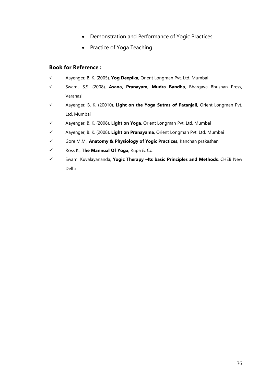- Demonstration and Performance of Yogic Practices
- Practice of Yoga Teaching

## **Book for Reference :**

- Aayenger, B. K. (2005). **Yog Deepika**, Orient Longman Pvt. Ltd. Mumbai
- Swami, S.S. (2008). **Asana, Pranayam, Mudra Bandha**, Bhargava Bhushan Press, Varanasi
- Aayenger, B. K. (20010). **Light on the Yoga Sutras of Patanjali**, Orient Longman Pvt. Ltd. Mumbai
- Aayenger, B. K. (2008). **Light on Yoga**, Orient Longman Pvt. Ltd. Mumbai
- Aayenger, B. K. (2008). **Light on Pranayama**, Orient Longman Pvt. Ltd. Mumbai
- Gore M.M., **Anatomy & Physiology of Yogic Practices,** Kanchan prakashan
- Ross K., **The Mannual Of Yoga**, Rupa & Co.
- Swami Kuvalayananda, **Yogic Therapy –Its basic Principles and Methods**, CHEB New Delhi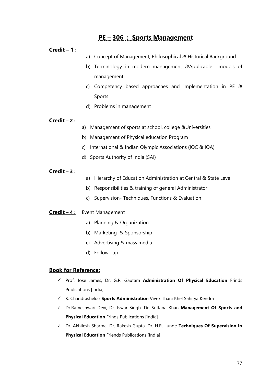# **PE – 306 : Sports Management**

#### **Credit – 1 :**

- a) Concept of Management, Philosophical & Historical Background.
- b) Terminology in modern management &Applicable models of management
- c) Competency based approaches and implementation in PE & Sports
- d) Problems in management

### **Credit – 2 :**

- a) Management of sports at school, college &Universities
- b) Management of Physical education Program
- c) International & Indian Olympic Associations (IOC & IOA)
- d) Sports Authority of India (SAI)

#### **Credit – 3 :**

- a) Hierarchy of Education Administration at Central & State Level
- b) Responsibilities & training of general Administrator
- c) Supervision- Techniques, Functions & Evaluation

### **Credit – 4 :** Event Management

- a) Planning & Organization
- b) Marketing & Sponsorship
- c) Advertising & mass media
- d) Follow –up

#### **Book for Reference:**

- Prof. Jose James, Dr. G.P. Gautam **Administration Of Physical Education** Frinds Publications [India]
- K. Chandrashekar **Sports Administration** Vivek Thani Khel Sahitya Kendra
- Dr.Rameshwari Devi, Dr. Iswar Singh, Dr. Sultana Khan **Management Of Sports and Physical Education** Frinds Publications [India]
- Dr. Akhilesh Sharma, Dr. Rakesh Gupta, Dr. H.R. Lunge **Techniques Of Supervision In Physical Education** Friends Publications [India]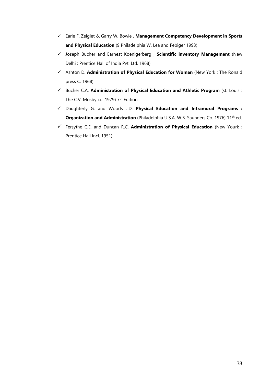- Earle F. Zeiglet & Garry W. Bowie . **Management Competency Development in Sports and Physical Education** (9 Philadelphia W. Lea and Febiger 1993)
- Joseph Bucher and Earnest Koenigerberg , **Scientific inventory Management** (New Delhi : Prentice Hall of India Pvt. Ltd. 1968)
- Ashton D. **Administration of Physical Education for Woman** (New York : The Ronald press C. 1968)
- Bucher C.A. **Administration of Physical Education and Athletic Program** (st. Louis : The C.V. Mosby co. 1979) 7<sup>th</sup> Edition.
- Daughterly G. and Woods J.D. **Physical Education and Intramural Programs : Organization and Administration** (Philadelphia U.S.A. W.B. Saunders Co. 1976) 11<sup>th</sup> ed.
- Fersythe C.E. and Duncan R.C. **Administration of Physical Education** (New Yourk : Prentice Hall Incl. 1951)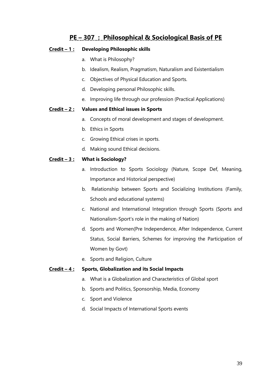# **PE – 307 : Philosophical & Sociological Basis of PE**

### **Credit – 1 : Developing Philosophic skills**

- a. What is Philosophy?
- b. Idealism, Realism, Pragmatism, Naturalism and Existentialism
- c. Objectives of Physical Education and Sports.
- d. Developing personal Philosophic skills.
- e. Improving life through our profession (Practical Applications)

### **Credit – 2 : Values and Ethical issues in Sports**

- a. Concepts of moral development and stages of development.
- b. Ethics in Sports
- c. Growing Ethical crises in sports.
- d. Making sound Ethical decisions.

### **Credit – 3 : What is Sociology?**

- a. Introduction to Sports Sociology (Nature, Scope Def, Meaning, Importance and Historical perspective)
- b. Relationship between Sports and Socializing Institutions (Family, Schools and educational systems)
- c. National and International Integration through Sports (Sports and Nationalism-Sport's role in the making of Nation)
- d. Sports and Women(Pre Independence, After Independence, Current Status, Social Barriers, Schemes for improving the Participation of Women by Govt)
- e. Sports and Religion, Culture

#### **Credit – 4 : Sports, Globalization and its Social Impacts**

- a. What is a Globalization and Characteristics of Global sport
- b. Sports and Politics, Sponsorship, Media, Economy
- c. Sport and Violence
- d. Social Impacts of International Sports events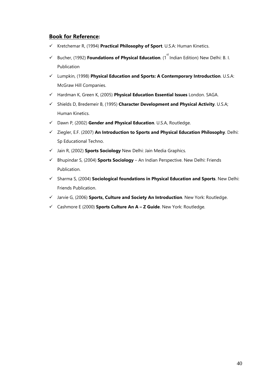### **Book for Reference:**

- Kretchemar R, (1994) **Practical Philosophy of Sport**. U.S.A: Human Kinetics.
- √ Bucher, (1992) **Foundations of Physical Education**. (1<sup>st</sup> Indian Edition) New Delhi: B. I. Publication
- Lumpkin, (1998) **Physical Education and Sports: A Contemporary Introduction**. U.S.A: McGraw Hill Companies.
- Hardman K, Green K, (2005) **Physical Education Essential Issues** London. SAGA.
- Shields D, Bredemeir B, (1995) **Character Development and Physical Activity**. U.S.A; Human Kinetics.
- Dawn P, (2002) **Gender and Physical Education**. U.S.A, Routledge.
- Ziegler, E.F. (2007) **An Introduction to Sports and Physical Education Philosophy**. Delhi: Sp Educational Techno.
- Jain R, (2002) **Sports Sociology** New Delhi: Jain Media Graphics.
- Bhupindar S, (2004) **Sports Sociology** An Indian Perspective. New Delhi: Friends Publication.
- Sharma S, (2004) **Sociological foundations in Physical Education and Sports**. New Delhi: Friends Publication.
- Jarvie G, (2006) **Sports, Culture and Society An Introduction**. New York: Routledge.
- Cashmore E (2000) **Sports Culture An A – Z Guide**. New York: Routledge.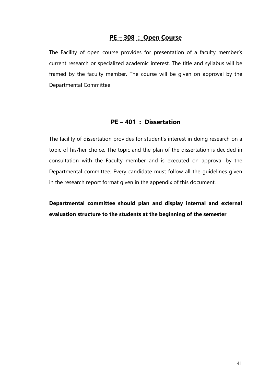# **PE – 308 : Open Course**

The Facility of open course provides for presentation of a faculty member's current research or specialized academic interest. The title and syllabus will be framed by the faculty member. The course will be given on approval by the Departmental Committee

# **PE – 401 : Dissertation**

The facility of dissertation provides for student's interest in doing research on a topic of his/her choice. The topic and the plan of the dissertation is decided in consultation with the Faculty member and is executed on approval by the Departmental committee. Every candidate must follow all the guidelines given in the research report format given in the appendix of this document.

**Departmental committee should plan and display internal and external evaluation structure to the students at the beginning of the semester**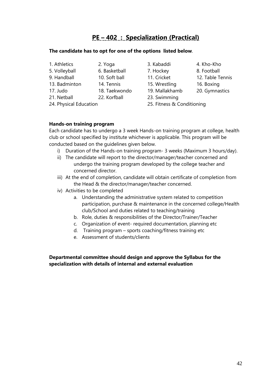# **PE – 402 : Specialization (Practical)**

### **The candidate has to opt for one of the options listed below**.

- 1. Athletics 2. Yoga 3. Kabaddi 4. Kho-Kho
- 5. Volleyball 6. Basketball 7. Hockey 8. Football
- 9. Handball 10. Soft ball 11. Cricket 12. Table Tennis
- 
- 
- 17. Judo 18. Taekwondo 19. Mallakhamb 20. Gymnastics
- 21. Netball 22. Korfball 23. Swimming
- 
- 
- 
- 13. Badminton 14. Tennis 15. Wrestling 16. Boxing
	-
- 
- 
- 
- 24. Physical Education 25. Fitness & Conditioning

### **Hands-on training program**

Each candidate has to undergo a 3 week Hands-on training program at college, health club or school specified by institute whichever is applicable. This program will be conducted based on the guidelines given below.

- i) Duration of the Hands-on training program- 3 weeks (Maximum 3 hours/day).
- ii) The candidate will report to the director/manager/teacher concerned and undergo the training program developed by the college teacher and concerned director.
- iii) At the end of completion, candidate will obtain certificate of completion from the Head & the director/manager/teacher concerned.
- iv) Activities to be completed
	- a. Understanding the administrative system related to competition participation, purchase & maintenance in the concerned college/Health club/School and duties related to teaching/training
	- b. Role, duties & responsibilities of the Director/Trainer/Teacher
	- c. Organization of event- required documentation, planning etc
	- d. Training program sports coaching/fitness training etc
	- e. Assessment of students/clients

**Departmental committee should design and approve the Syllabus for the specialization with details of internal and external evaluation**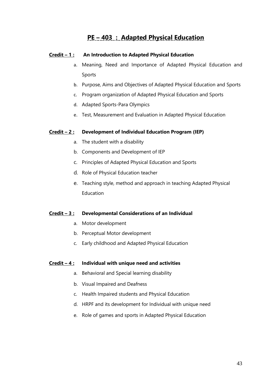# **PE – 403 : Adapted Physical Education**

### **Credit – 1 : An Introduction to Adapted Physical Education**

- a. Meaning, Need and Importance of Adapted Physical Education and Sports
- b. Purpose, Aims and Objectives of Adapted Physical Education and Sports
- c. Program organization of Adapted Physical Education and Sports
- d. Adapted Sports-Para Olympics
- e. Test, Measurement and Evaluation in Adapted Physical Education

### **Credit – 2 : Development of Individual Education Program (IEP)**

- a. The student with a disability
- b. Components and Development of IEP
- c. Principles of Adapted Physical Education and Sports
- d. Role of Physical Education teacher
- e. Teaching style, method and approach in teaching Adapted Physical **Education**

#### **Credit – 3 : Developmental Considerations of an Individual**

- a. Motor development
- b. Perceptual Motor development
- c. Early childhood and Adapted Physical Education

#### **Credit – 4 : Individual with unique need and activities**

- a. Behavioral and Special learning disability
- b. Visual Impaired and Deafness
- c. Health Impaired students and Physical Education
- d. HRPF and its development for Individual with unique need
- e. Role of games and sports in Adapted Physical Education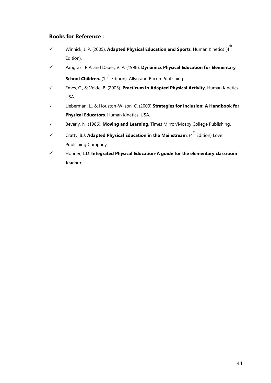### **Books for Reference :**

- Winnick, J. P. (2005). **Adapted Physical Education and Sports**. Human Kinetics (4 th Edition).
- Pangrazi, R.P. and Dauer, V. P. (1998). **Dynamics Physical Education for Elementary School Children.** (12<sup>th</sup> Edition). Allyn and Bacon Publishing.
- Emes, C., & Velde, B. (2005). **Practicum in Adapted Physical Activity**. Human Kinetics. USA.
- Lieberman, L., & Houston-Wilson, C. (2009) **Strategies for Inclusion: A Handbook for Physical Educators**. Human Kinetics. USA.
- Beverly, N. (1986). **Moving and Learning**. Times Mirror/Mosby College Publishing.
- $\checkmark$  Cratty, B.J. **Adapted Physical Education in the Mainstream**. (4<sup>th</sup> Edition) Love Publishing Company.
- Houner, L.D*.* **Integrated Physical Education-A guide for the elementary classroom teacher**.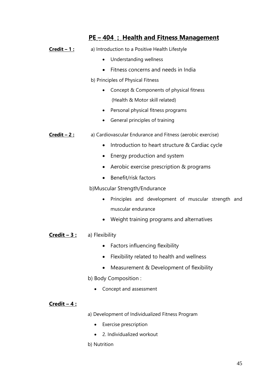# **PE – 404 : Health and Fitness Management**

- **Credit 1 :** a) Introduction to a Positive Health Lifestyle
	- Understanding wellness
	- Fitness concerns and needs in India

b) Principles of Physical Fitness

- Concept & Components of physical fitness (Health & Motor skill related)
- Personal physical fitness programs
- General principles of training
- **Credit 2:** a) Cardiovascular Endurance and Fitness (aerobic exercise)
	- Introduction to heart structure & Cardiac cycle
	- Energy production and system
	- Aerobic exercise prescription & programs
	- Benefit/risk factors

b)Muscular Strength/Endurance

- Principles and development of muscular strength and muscular endurance
- Weight training programs and alternatives

### **Credit – 3 :** a) Flexibility

- Factors influencing flexibility
- Flexibility related to health and wellness
- Measurement & Development of flexibility

b) Body Composition :

• Concept and assessment

### **Credit – 4 :**

a) Development of Individualized Fitness Program

- Exercise prescription
- 2. Individualized workout

b) Nutrition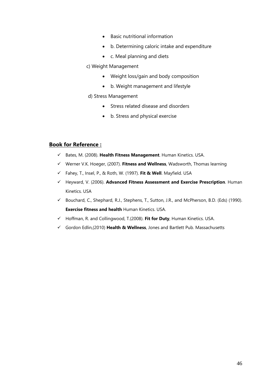- Basic nutritional information
- b. Determining caloric intake and expenditure
- c. Meal planning and diets

#### c) Weight Management

- Weight loss/gain and body composition
- b. Weight management and lifestyle

#### d) Stress Management

- Stress related disease and disorders
- b. Stress and physical exercise

### **Book for Reference :**

- Bates, M. (2008). **Health Fitness Management**. Human Kinetics. USA.
- Werner V.K. Hoeger, (2007). **Fitness and Wellness**, Wadsworth, Thomas learning
- Fahey, T., Insel, P., & Roth, W. (1997). **Fit & Well**. Mayfield. USA
- Heyward, V. (2006). **Advanced Fitness Assessment and Exercise Prescription**. Human Kinetics. USA
- Bouchard, C., Shephard, R.J., Stephens, T., Sutton, J.R., and McPherson, B.D. (Eds) (1990). **Exercise fitness and health** Human Kinetics. USA.
- Hoffman, R. and Collingwood, T.(2008). **Fit for Duty**, Human Kinetics. USA.
- Gordon Edlin,(2010) **Health & Wellness**, Jones and Bartlett Pub. Massachusetts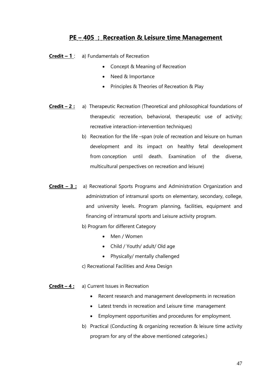# **PE – 405 : Recreation & Leisure time Management**

- **Credit – 1** : a) Fundamentals of Recreation
	- Concept & Meaning of Recreation
	- Need & Importance
	- Principles & Theories of Recreation & Play
- **Credit – 2 :** a) Therapeutic Recreation (Theoretical and philosophical foundations of therapeutic recreation, behavioral, therapeutic use of activity; recreative interaction-intervention techniques)
	- b) Recreation for the life –span (role of recreation and leisure on human development and its impact on healthy fetal development from conception until death. Examination of the diverse, multicultural perspectives on recreation and leisure)
- **Credit – 3 :** a) Recreational Sports Programs and Administration Organization and administration of intramural sports on elementary, secondary, college, and university levels. Program planning, facilities, equipment and financing of intramural sports and Leisure activity program.
	- b) Program for different Category
		- Men / Women
		- Child / Youth/ adult/ Old age
		- Physically/ mentally challenged
	- c) Recreational Facilities and Area Design
- **Credit – 4 :** a) Current Issues in Recreation
	- Recent research and management developments in recreation
	- Latest trends in recreation and Leisure time management
	- Employment opportunities and procedures for employment.
	- b) Practical (Conducting & organizing recreation & leisure time activity program for any of the above mentioned categories.)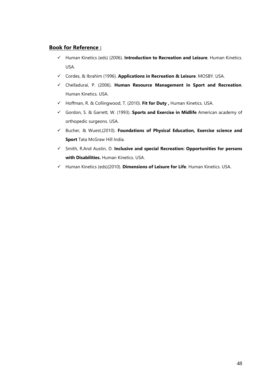### **Book for Reference :**

- Human Kinetics (eds) (2006). **Introduction to Recreation and Leisure**. Human Kinetics. USA.
- Cordes, & Ibrahim (1996). **Applications in Recreation & Leisure**. MOSBY. USA.
- Chelladurai, P. (2006). **Human Resource Management in Sport and Recreation**. Human Kinetics. USA.
- Hoffman, R. & Collingwood, T. (2010). **Fit for Duty ,** Human Kinetics. USA.
- Gordon, S. & Garrett, W. (1993). **Sports and Exercise in Midlife** American academy of orthopedic surgeons. USA.
- Bucher, & Wuest,(2010). **Foundations of Physical Education, Exercise science and Sport** Tata McGraw Hill India.
- Smith, R.And Austin, D. **Inclusive and special Recreation: Opportunities for persons with Disabilities.** Human Kinetics. USA.
- Human Kinetics (eds)(2010). **Dimensions of Leisure for Life**. Human Kinetics. USA.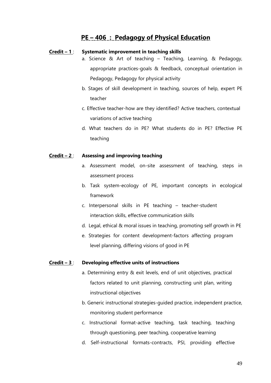## **PE – 406 : Pedagogy of Physical Education**

#### **Credit – 1** : **Systematic improvement in teaching skills**

- a. Science & Art of teaching Teaching, Learning, & Pedagogy, appropriate practices-goals & feedback, conceptual orientation in Pedagogy, Pedagogy for physical activity
- b. Stages of skill development in teaching, sources of help, expert PE teacher
- c. Effective teacher-how are they identified? Active teachers, contextual variations of active teaching
- d. What teachers do in PE? What students do in PE? Effective PE teaching

#### **Credit – 2** : **Assessing and improving teaching**

- a. Assessment model, on-site assessment of teaching, steps in assessment process
- b. Task system-ecology of PE, important concepts in ecological framework
- c. Interpersonal skills in PE teaching teacher-student interaction skills, effective communication skills
- d. Legal, ethical & moral issues in teaching, promoting self growth in PE
- e. Strategies for content development-factors affecting program level planning, differing visions of good in PE

#### **Credit – 3** : **Developing effective units of instructions**

- a. Determining entry & exit levels, end of unit objectives, practical factors related to unit planning, constructing unit plan, writing instructional objectives
- b. Generic instructional strategies-guided practice, independent practice, monitoring student performance
- c. Instructional format-active teaching, task teaching, teaching through questioning, peer teaching, cooperative learning
- d. Self-instructional formats-contracts, PSI, providing effective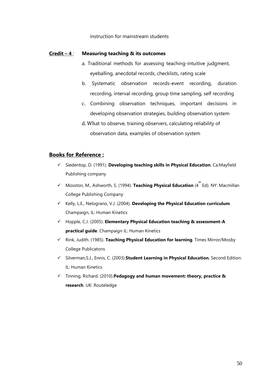#### instruction for mainstream students

#### **Credit – 4** : **Measuring teaching & its outcomes**

- a. Traditional methods for assessing teaching-intuitive judgment, eyeballing, anecdotal records, checklists, rating scale
- b. Systematic observation records-event recording, duration recording, interval recording, group time sampling, self recording
- c. Combining observation techniques, important decisions in developing observation strategies, building observation system
- d. What to observe, training observers, calculating reliability of observation data, examples of observation system

### **Books for Reference :**

- Siedentop, D. (1991). **Developing teaching skills in Physical Education**. Ca:Mayfield Publishing company
- **✓** Mosston, M., Ashworth, S. (1994). **Teaching Physical Education** (4<sup>th</sup> Ed). NY: Macmillan College Publishing Company
- Kelly, L.E., Nelograno, V.J. (2004). Developing the Physical Education curriculum. Champaign, IL: Human Kinetics
- Hopple, C.J. (2005). **Elementary Physical Education teaching & assessment-A practical guide**. Champaign IL: Human Kinetics
- Rink, Judith. (1985). **Teaching Physical Education for learning**. Times Mirror/Mosby College Publicatons
- Silverman,S.J., Ennis, C. (2003).**Student Learning in Physical Education**, Second Edition. IL: Human Kinetics
- Tinning, Richard. (2010).**Pedagogy and human movement: theory, practice & research**. UK: Routeledge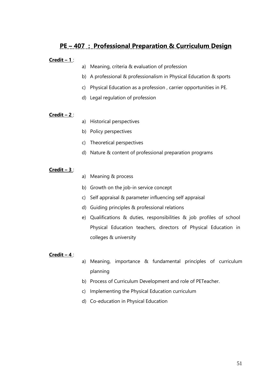# **PE – 407 : Professional Preparation & Curriculum Design**

### **Credit – 1** :

- a) Meaning, criteria & evaluation of profession
- b) A professional & professionalism in Physical Education & sports
- c) Physical Education as a profession , carrier opportunities in PE.
- d) Legal regulation of profession

### **Credit – 2** :

- a) Historical perspectives
- b) Policy perspectives
- c) Theoretical perspectives
- d) Nature & content of professional preparation programs

### **Credit – 3** :

- a) Meaning & process
- b) Growth on the job-in service concept
- c) Self appraisal & parameter influencing self appraisal
- d) Guiding principles & professional relations
- e) Qualifications & duties, responsibilities & job profiles of school Physical Education teachers, directors of Physical Education in colleges & university

#### **Credit – 4** :

- a) Meaning, importance & fundamental principles of curriculum planning
- b) Process of Curriculum Development and role of PETeacher.
- c) Implementing the Physical Education curriculum
- d) Co-education in Physical Education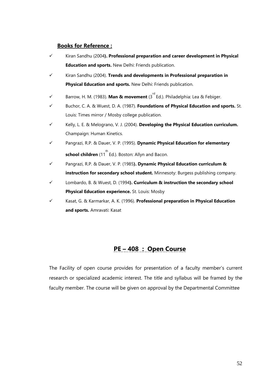### **Books for Reference :**

- Kiran Sandhu (2004**). Professional preparation and career development in Physical Education and sports.** New Delhi: Friends publication.
- Kiran Sandhu (2004). **Trends and developments in Professional preparation in Physical Education and sports.** New Delhi: Friends publication.
- **✓ Barrow, H. M. (1983). Man & movement (3<sup>rd</sup> Ed.). Philadelphia: Lea & Febiger.**
- Buchor, C. A. & Wuest, D. A. (1987). **Foundations of Physical Education and sports.** St. Louis: Times mirror / Mosby college publication.
- Kelly, L. E. & Melograno, V. J. (2004). **Developing the Physical Education curriculum.**  Champaign: Human Kinetics.
- Pangrazi, R.P. & Dauer, V. P. (1995). **Dynamic Physical Education for elementary school children** (11<sup>th</sup> Ed.). Boston: Allyn and Bacon.
- Pangrazi, R.P. & Dauer, V. P. (1985**). Dynamic Physical Education curriculum & instruction for secondary school student.** Minnesoty: Burgess publishing company.
- Lombardo, B. & Wuest, D. (1994**). Curriculum & instruction the secondary school Physical Education experience.** St. Louis: Mosby
- Kasat, G. & Karmarkar, A. K. (1996). **Professional preparation in Physical Education and sports.** Amravati: Kasat

# **PE – 408 : Open Course**

The Facility of open course provides for presentation of a faculty member's current research or specialized academic interest. The title and syllabus will be framed by the faculty member. The course will be given on approval by the Departmental Committee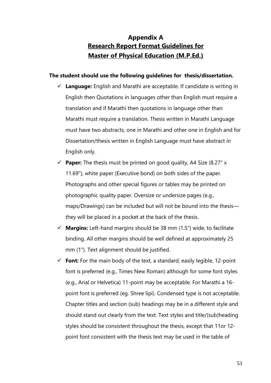# **Appendix A Research Report Format Guidelines for Master of Physical Education (M.P.Ed.)**

### **The student should use the following guidelines for thesis/dissertation.**

- **Language:** English and Marathi are acceptable. If candidate is writing in English then Quotations in languages other than English must require a translation and if Marathi then quotations in language other than Marathi must require a translation. Thesis written in Marathi Language must have two abstracts, one in Marathi and other one in English and for Dissertation/thesis written in English Language must have abstract in English only.
- $\checkmark$  **Paper:** The thesis must be printed on good quality, A4 Size (8.27" x 11.69"), white paper (Executive bond) on both sides of the paper. Photographs and other special figures or tables may be printed on photographic quality paper. Oversize or undersize pages (e.g., maps/Drawings) can be included but will not be bound into the thesis they will be placed in a pocket at the back of the thesis.
- **Margins:** Left-hand margins should be 38 mm (1.5") wide, to facilitate binding. All other margins should be well defined at approximately 25 mm (1"). Text alignment should be justified.
- $\checkmark$  Font: For the main body of the text, a standard, easily legible, 12-point font is preferred (e.g., Times New Roman) although for some font styles (e.g., Arial or Helvetica) 11-point may be acceptable. For Marathi a 16 point font is preferred (eg. Shree lipi). Condensed type is not acceptable. Chapter titles and section (sub) headings may be in a different style and should stand out clearly from the text. Text styles and title/(sub)heading styles should be consistent throughout the thesis, except that 11or 12 point font consistent with the thesis text may be used in the table of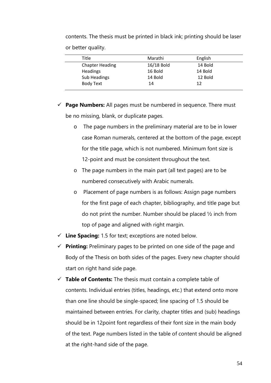contents. The thesis must be printed in black ink; printing should be laser or better quality.

| Title                  | Marathi    | English |  |
|------------------------|------------|---------|--|
| <b>Chapter Heading</b> | 16/18 Bold | 14 Bold |  |
| Headings               | 16 Bold    | 14 Bold |  |
| Sub Headings           | 14 Bold    | 12 Bold |  |
| <b>Body Text</b>       | 14         | 12      |  |
|                        |            |         |  |

 **Page Numbers:** All pages must be numbered in sequence. There must be no missing, blank, or duplicate pages.

- o The page numbers in the preliminary material are to be in lower case Roman numerals, centered at the bottom of the page, except for the title page, which is not numbered. Minimum font size is 12-point and must be consistent throughout the text.
- o The page numbers in the main part (all text pages) are to be numbered consecutively with Arabic numerals.
- o Placement of page numbers is as follows: Assign page numbers for the first page of each chapter, bibliography, and title page but do not print the number. Number should be placed ½ inch from top of page and aligned with right margin.
- **Line Spacing:** 1.5 for text; exceptions are noted below.
- $\checkmark$  **Printing:** Preliminary pages to be printed on one side of the page and Body of the Thesis on both sides of the pages. Every new chapter should start on right hand side page.
- **Table of Contents:** The thesis must contain a complete table of contents. Individual entries (titles, headings, etc.) that extend onto more than one line should be single-spaced; line spacing of 1.5 should be maintained between entries. For clarity, chapter titles and (sub) headings should be in 12point font regardless of their font size in the main body of the text. Page numbers listed in the table of content should be aligned at the right-hand side of the page.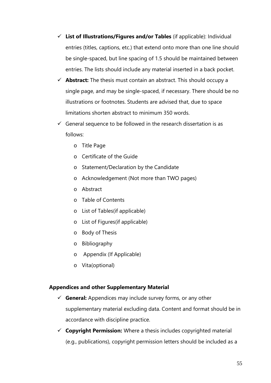- **List of Illustrations/Figures and/or Tables** (if applicable): Individual entries (titles, captions, etc.) that extend onto more than one line should be single-spaced, but line spacing of 1.5 should be maintained between entries. The lists should include any material inserted in a back pocket.
- **Abstract:** The thesis must contain an abstract. This should occupy a single page, and may be single-spaced, if necessary. There should be no illustrations or footnotes. Students are advised that, due to space limitations shorten abstract to minimum 350 words.
- $\checkmark$  General sequence to be followed in the research dissertation is as follows:
	- o Title Page
	- o Certificate of the Guide
	- o Statement/Declaration by the Candidate
	- o Acknowledgement (Not more than TWO pages)
	- o Abstract
	- o Table of Contents
	- o List of Tables(if applicable)
	- o List of Figures(if applicable)
	- o Body of Thesis
	- o Bibliography
	- o Appendix (If Applicable)
	- o Vita(optional)

### **Appendices and other Supplementary Material**

- **General:** Appendices may include survey forms, or any other supplementary material excluding data. Content and format should be in accordance with discipline practice.
- **Copyright Permission:** Where a thesis includes copyrighted material (e.g., publications), copyright permission letters should be included as a